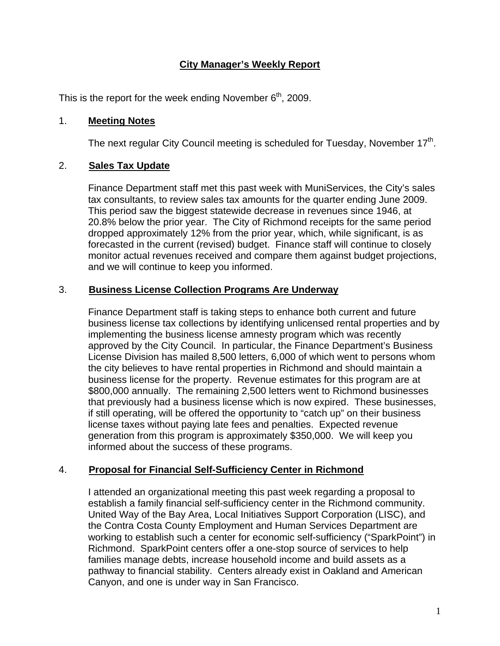# **City Manager's Weekly Report**

This is the report for the week ending November  $6<sup>th</sup>$ , 2009.

#### 1. **Meeting Notes**

The next regular City Council meeting is scheduled for Tuesday, November  $17<sup>th</sup>$ .

## 2. **Sales Tax Update**

Finance Department staff met this past week with MuniServices, the City's sales tax consultants, to review sales tax amounts for the quarter ending June 2009. This period saw the biggest statewide decrease in revenues since 1946, at 20.8% below the prior year. The City of Richmond receipts for the same period dropped approximately 12% from the prior year, which, while significant, is as forecasted in the current (revised) budget. Finance staff will continue to closely monitor actual revenues received and compare them against budget projections, and we will continue to keep you informed.

#### 3. **Business License Collection Programs Are Underway**

Finance Department staff is taking steps to enhance both current and future business license tax collections by identifying unlicensed rental properties and by implementing the business license amnesty program which was recently approved by the City Council. In particular, the Finance Department's Business License Division has mailed 8,500 letters, 6,000 of which went to persons whom the city believes to have rental properties in Richmond and should maintain a business license for the property. Revenue estimates for this program are at \$800,000 annually. The remaining 2,500 letters went to Richmond businesses that previously had a business license which is now expired. These businesses, if still operating, will be offered the opportunity to "catch up" on their business license taxes without paying late fees and penalties. Expected revenue generation from this program is approximately \$350,000. We will keep you informed about the success of these programs.

## 4. **Proposal for Financial Self-Sufficiency Center in Richmond**

I attended an organizational meeting this past week regarding a proposal to establish a family financial self-sufficiency center in the Richmond community. United Way of the Bay Area, Local Initiatives Support Corporation (LISC), and the Contra Costa County Employment and Human Services Department are working to establish such a center for economic self-sufficiency ("SparkPoint") in Richmond. SparkPoint centers offer a one-stop source of services to help families manage debts, increase household income and build assets as a pathway to financial stability. Centers already exist in Oakland and American Canyon, and one is under way in San Francisco.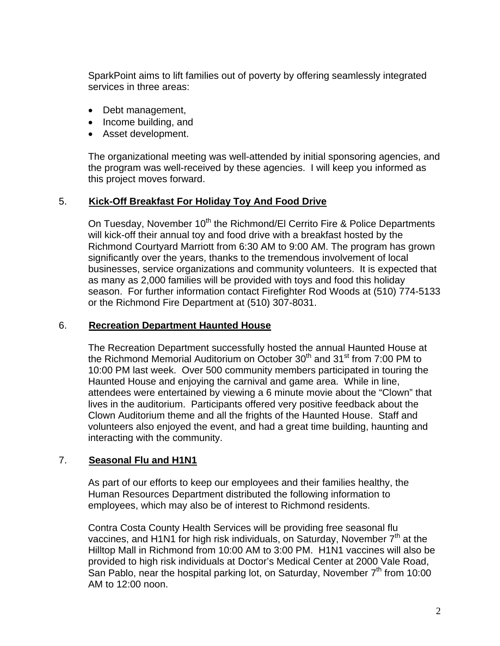SparkPoint aims to lift families out of poverty by offering seamlessly integrated services in three areas:

- Debt management,
- Income building, and
- Asset development.

The organizational meeting was well-attended by initial sponsoring agencies, and the program was well-received by these agencies. I will keep you informed as this project moves forward.

## 5. **Kick-Off Breakfast For Holiday Toy And Food Drive**

On Tuesday, November 10<sup>th</sup> the Richmond/El Cerrito Fire & Police Departments will kick-off their annual toy and food drive with a breakfast hosted by the Richmond Courtyard Marriott from 6:30 AM to 9:00 AM. The program has grown significantly over the years, thanks to the tremendous involvement of local businesses, service organizations and community volunteers. It is expected that as many as 2,000 families will be provided with toys and food this holiday season. For further information contact Firefighter Rod Woods at (510) 774-5133 or the Richmond Fire Department at (510) 307-8031.

#### 6. **Recreation Department Haunted House**

The Recreation Department successfully hosted the annual Haunted House at the Richmond Memorial Auditorium on October  $30<sup>th</sup>$  and  $31<sup>st</sup>$  from 7:00 PM to 10:00 PM last week. Over 500 community members participated in touring the Haunted House and enjoying the carnival and game area. While in line, attendees were entertained by viewing a 6 minute movie about the "Clown" that lives in the auditorium. Participants offered very positive feedback about the Clown Auditorium theme and all the frights of the Haunted House. Staff and volunteers also enjoyed the event, and had a great time building, haunting and interacting with the community.

## 7. **Seasonal Flu and H1N1**

As part of our efforts to keep our employees and their families healthy, the Human Resources Department distributed the following information to employees, which may also be of interest to Richmond residents.

Contra Costa County Health Services will be providing free seasonal flu vaccines, and H1N1 for high risk individuals, on Saturday, November  $7<sup>th</sup>$  at the Hilltop Mall in Richmond from 10:00 AM to 3:00 PM. H1N1 vaccines will also be provided to high risk individuals at Doctor's Medical Center at 2000 Vale Road, San Pablo, near the hospital parking lot, on Saturday, November  $7<sup>th</sup>$  from 10:00 AM to 12:00 noon.